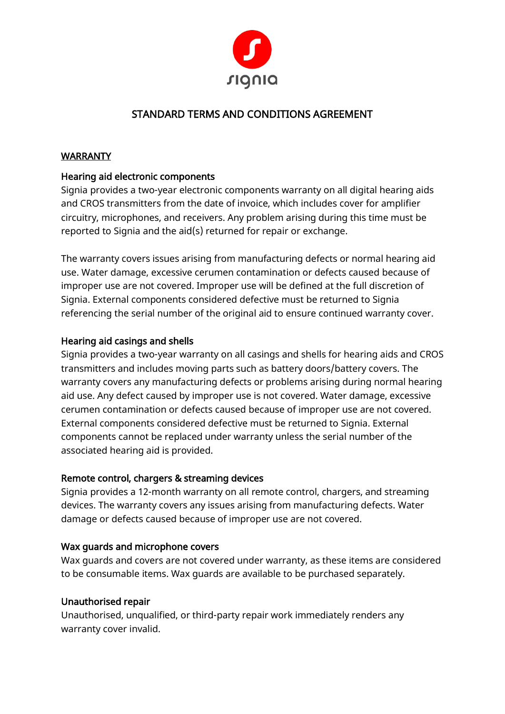

# STANDARD TERMS AND CONDITIONS AGREEMENT

# **WARRANTY**

# Hearing aid electronic components

Signia provides a two-year electronic components warranty on all digital hearing aids and CROS transmitters from the date of invoice, which includes cover for amplifier circuitry, microphones, and receivers. Any problem arising during this time must be reported to Signia and the aid(s) returned for repair or exchange.

The warranty covers issues arising from manufacturing defects or normal hearing aid use. Water damage, excessive cerumen contamination or defects caused because of improper use are not covered. Improper use will be defined at the full discretion of Signia. External components considered defective must be returned to Signia referencing the serial number of the original aid to ensure continued warranty cover.

# Hearing aid casings and shells

Signia provides a two-year warranty on all casings and shells for hearing aids and CROS transmitters and includes moving parts such as battery doors/battery covers. The warranty covers any manufacturing defects or problems arising during normal hearing aid use. Any defect caused by improper use is not covered. Water damage, excessive cerumen contamination or defects caused because of improper use are not covered. External components considered defective must be returned to Signia. External components cannot be replaced under warranty unless the serial number of the associated hearing aid is provided.

# Remote control, chargers & streaming devices

Signia provides a 12-month warranty on all remote control, chargers, and streaming devices. The warranty covers any issues arising from manufacturing defects. Water damage or defects caused because of improper use are not covered.

# Wax guards and microphone covers

Wax guards and covers are not covered under warranty, as these items are considered to be consumable items. Wax guards are available to be purchased separately.

# Unauthorised repair

Unauthorised, unqualified, or third-party repair work immediately renders any warranty cover invalid.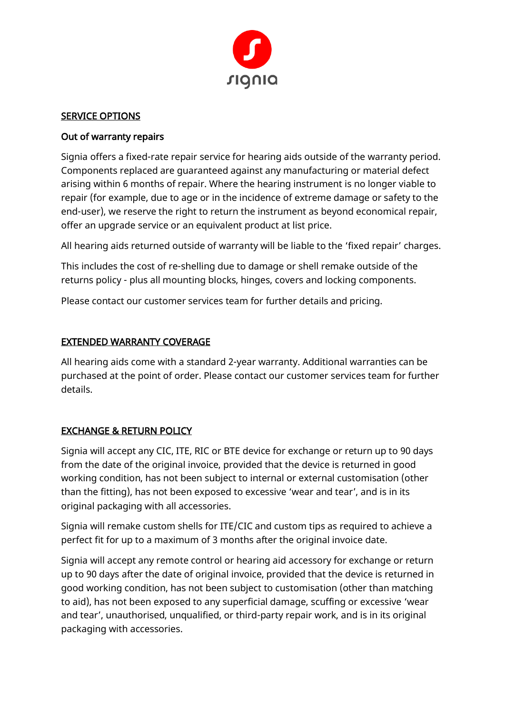

#### SERVICE OPTIONS

# Out of warranty repairs

Signia offers a fixed-rate repair service for hearing aids outside of the warranty period. Components replaced are guaranteed against any manufacturing or material defect arising within 6 months of repair. Where the hearing instrument is no longer viable to repair (for example, due to age or in the incidence of extreme damage or safety to the end-user), we reserve the right to return the instrument as beyond economical repair, offer an upgrade service or an equivalent product at list price.

All hearing aids returned outside of warranty will be liable to the 'fixed repair' charges.

This includes the cost of re-shelling due to damage or shell remake outside of the returns policy - plus all mounting blocks, hinges, covers and locking components.

Please contact our customer services team for further details and pricing.

# EXTENDED WARRANTY COVERAGE

All hearing aids come with a standard 2-year warranty. Additional warranties can be purchased at the point of order. Please contact our customer services team for further details.

# EXCHANGE & RETURN POLICY

Signia will accept any CIC, ITE, RIC or BTE device for exchange or return up to 90 days from the date of the original invoice, provided that the device is returned in good working condition, has not been subject to internal or external customisation (other than the fitting), has not been exposed to excessive 'wear and tear', and is in its original packaging with all accessories.

Signia will remake custom shells for ITE/CIC and custom tips as required to achieve a perfect fit for up to a maximum of 3 months after the original invoice date.

Signia will accept any remote control or hearing aid accessory for exchange or return up to 90 days after the date of original invoice, provided that the device is returned in good working condition, has not been subject to customisation (other than matching to aid), has not been exposed to any superficial damage, scuffing or excessive 'wear and tear', unauthorised, unqualified, or third-party repair work, and is in its original packaging with accessories.